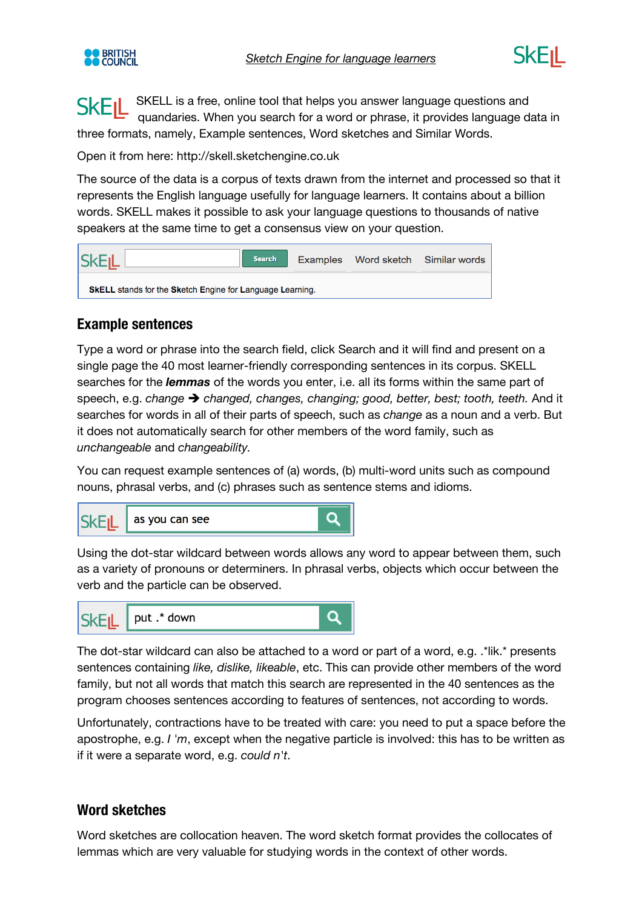



SKELL is a free, online tool that helps you answer language questions and **SKEIL** quandaries. When you search for a word or phrase, it provides language data in three formats, namely, Example sentences, Word sketches and Similar Words.

Open it from here: http://skell.sketchengine.co.uk

The source of the data is a corpus of texts drawn from the internet and processed so that it represents the English language usefully for language learners. It contains about a billion words. SKELL makes it possible to ask your language questions to thousands of native speakers at the same time to get a consensus view on your question.



## **Example sentences**

Type a word or phrase into the search field, click Search and it will find and present on a single page the 40 most learner-friendly corresponding sentences in its corpus. SKELL searches for the *lemmas* of the words you enter, i.e. all its forms within the same part of speech, e.g. *change*  $\rightarrow$  *changed, changes, changing; good, better, best; tooth, teeth. And it* searches for words in all of their parts of speech, such as *change* as a noun and a verb. But it does not automatically search for other members of the word family, such as *unchangeable* and *changeability.* 

You can request example sentences of (a) words, (b) multi-word units such as compound nouns, phrasal verbs, and (c) phrases such as sentence stems and idioms.



Using the dot-star wildcard between words allows any word to appear between them, such as a variety of pronouns or determiners. In phrasal verbs, objects which occur between the verb and the particle can be observed.



The dot-star wildcard can also be attached to a word or part of a word, e.g. .\*lik.\* presents sentences containing *like, dislike, likeable*, etc. This can provide other members of the word family, but not all words that match this search are represented in the 40 sentences as the program chooses sentences according to features of sentences, not according to words.

Unfortunately, contractions have to be treated with care: you need to put a space before the apostrophe, e.g. *I 'm*, except when the negative particle is involved: this has to be written as if it were a separate word, e.g. *could n't*.

## **Word sketches**

Word sketches are collocation heaven. The word sketch format provides the collocates of lemmas which are very valuable for studying words in the context of other words.